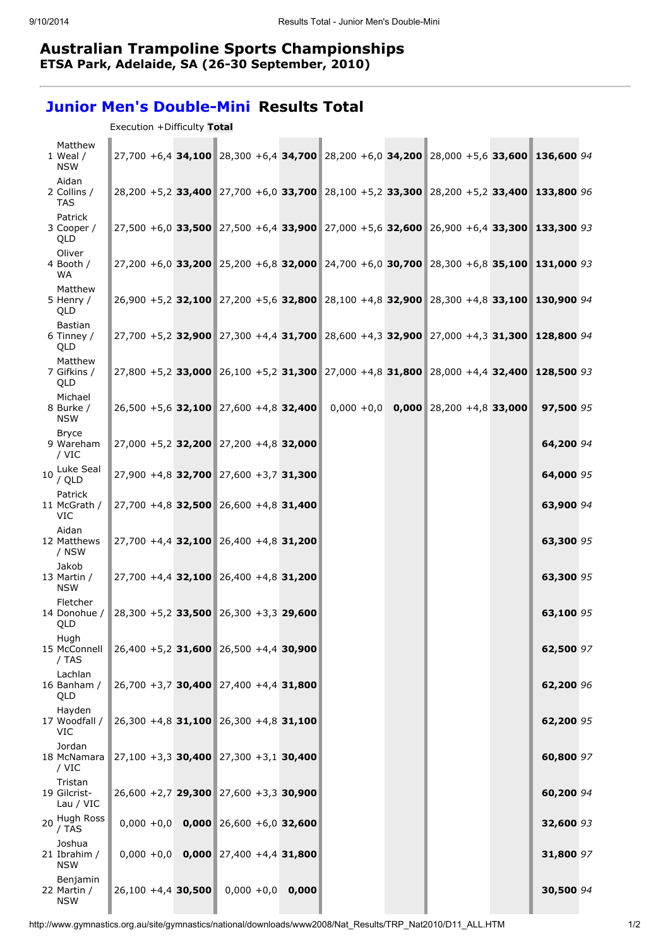## Australian Trampoline Sports Championships ETSA Park, Adelaide, SA (26-30 September, 2010)

## Junior Men's Double-Mini Results Total

Execution +Difficulty Total

| Matthew<br>1 Weal /<br><b>NSW</b>     |                      | 27,700 +6,4 34,100 28,300 +6,4 34,700 28,200 +6,0 34,200 28,000 +5,6 33,600 136,600 94 |       |  |  |           |  |
|---------------------------------------|----------------------|----------------------------------------------------------------------------------------|-------|--|--|-----------|--|
| Aidan<br>2 Collins /<br><b>TAS</b>    |                      | 28,200 +5,2 33,400 27,700 +6,0 33,700 28,100 +5,2 33,300 28,200 +5,2 33,400 133,800 96 |       |  |  |           |  |
| Patrick<br>3 Cooper /<br>QLD          |                      | 27,500 +6,0 33,500 27,500 +6,4 33,900 27,000 +5,6 32,600 26,900 +6,4 33,300 133,300 93 |       |  |  |           |  |
| Oliver<br>4 Booth /<br><b>WA</b>      |                      | 27,200 +6,0 33,200 25,200 +6,8 32,000 24,700 +6,0 30,700 28,300 +6,8 35,100 131,000 93 |       |  |  |           |  |
| Matthew<br>5 Henry /<br>QLD           |                      | 26,900 +5,2 32,100 27,200 +5,6 32,800 28,100 +4,8 32,900 28,300 +4,8 33,100 130,900 94 |       |  |  |           |  |
| Bastian<br>6 Tinney /<br>QLD          |                      | 27,700 +5,2 32,900 27,300 +4,4 31,700 28,600 +4,3 32,900 27,000 +4,3 31,300 128,800 94 |       |  |  |           |  |
| Matthew<br>7 Gifkins /<br>QLD         |                      | 27,800 +5,2 33,000 26,100 +5,2 31,300 27,000 +4,8 31,800 28,000 +4,4 32,400 128,500 93 |       |  |  |           |  |
| Michael<br>8 Burke /<br><b>NSW</b>    |                      | $26,500 + 5,6$ 32,100 27,600 +4,8 32,400 0,000 +0,0 0,000 28,200 +4,8 33,000           |       |  |  | 97,500 95 |  |
| <b>Bryce</b><br>9 Wareham<br>/ VIC    |                      | 27,000 +5,2 32,200 27,200 +4,8 32,000                                                  |       |  |  | 64,200 94 |  |
| 10 Luke Seal<br>/ QLD                 |                      | 27,900 +4,8 32,700 27,600 +3,7 31,300                                                  |       |  |  | 64,000 95 |  |
| Patrick<br>11 McGrath /<br><b>VIC</b> |                      | 27,700 +4,8 32,500 26,600 +4,8 31,400                                                  |       |  |  | 63,900 94 |  |
| Aidan<br>12 Matthews<br>/ NSW         |                      | 27,700 +4,4 32,100 26,400 +4,8 31,200                                                  |       |  |  | 63,300 95 |  |
| Jakob<br>13 Martin /<br><b>NSW</b>    |                      | 27,700 +4,4 32,100 26,400 +4,8 31,200                                                  |       |  |  | 63,300 95 |  |
| Fletcher<br>14 Donohue /<br>QLD       |                      | $28,300 + 5,2$ 33,500 26,300 +3,3 29,600                                               |       |  |  | 63,100 95 |  |
| Hugh<br>15 McConnell<br>/ TAS         |                      | $26,400 + 5,2$ 31,600 26,500 +4,4 30,900                                               |       |  |  | 62,500 97 |  |
| Lachlan<br>16 Banham /<br>QLD         |                      | 26,700 +3,7 30,400 27,400 +4,4 31,800                                                  |       |  |  | 62,200 96 |  |
| Hayden<br>17 Woodfall /<br>VIC        |                      | 26,300 +4,8 31,100 26,300 +4,8 31,100                                                  |       |  |  | 62,200 95 |  |
| Jordan<br>18 McNamara<br>/ VIC        |                      | $27,100 + 3,3$ 30,400 27,300 + 3,1 30,400                                              |       |  |  | 60,800 97 |  |
| Tristan<br>19 Gilcrist-<br>Lau / VIC  |                      | $26,600 + 2,7$ 29,300 27,600 +3,3 30,900                                               |       |  |  | 60,200 94 |  |
| 20 Hugh Ross<br>/ TAS                 |                      | $0,000 + 0,0$ 0,000 26,600 +6,0 32,600                                                 |       |  |  | 32,600 93 |  |
| Joshua<br>21 Ibrahim /<br><b>NSW</b>  |                      | $0,000 + 0,0$ 0,000 27,400 +4,4 31,800                                                 |       |  |  | 31,800 97 |  |
| Benjamin<br>22 Martin /<br><b>NSW</b> | $26,100 +4,4$ 30,500 | $0,000 + 0,0$                                                                          | 0,000 |  |  | 30,500 94 |  |